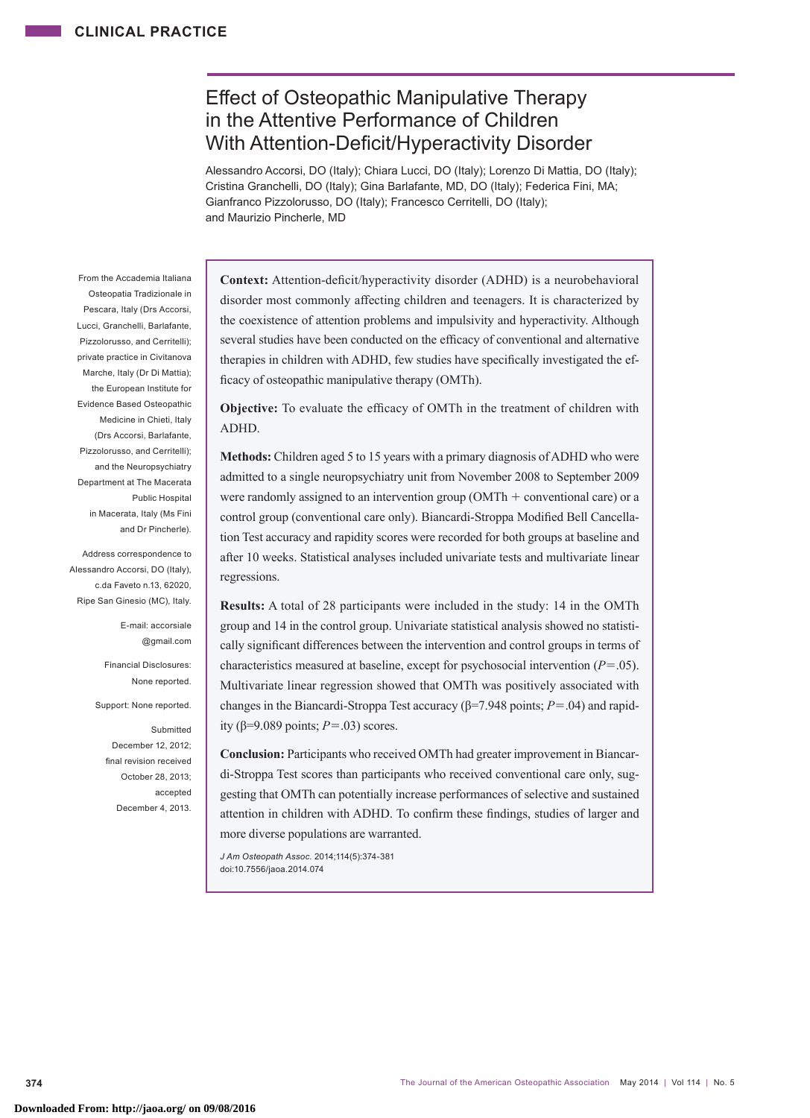# Effect of Osteopathic Manipulative Therapy in the Attentive Performance of Children With Attention-Deficit/Hyperactivity Disorder

Alessandro Accorsi, DO (Italy); Chiara Lucci, DO (Italy); Lorenzo Di Mattia, DO (Italy); Cristina Granchelli, DO (Italy); Gina Barlafante, MD, DO (Italy); Federica Fini, MA; Gianfranco Pizzolorusso, DO (Italy); Francesco Cerritelli, DO (Italy); and Maurizio Pincherle, MD

From the Accademia Italiana Osteopatia Tradizionale in Pescara, Italy (Drs Accorsi, Lucci, Granchelli, Barlafante, Pizzolorusso, and Cerritelli); private practice in Civitanova Marche, Italy (Dr Di Mattia); the European Institute for Evidence Based Osteopathic Medicine in Chieti, Italy (Drs Accorsi, Barlafante, Pizzolorusso, and Cerritelli); and the Neuropsychiatry Department at The Macerata Public Hospital in Macerata, Italy (Ms Fini and Dr Pincherle).

Address correspondence to Alessandro Accorsi, DO (Italy), c.da Faveto n.13, 62020, Ripe San Ginesio (MC), Italy.

> E-mail: accorsiale @gmail.com

Financial Disclosures: None reported.

Support: None reported.

Submitted December 12, 2012; final revision received October 28, 2013; accepted December 4, 2013.

**Context:** Attention-deficit/hyperactivity disorder (ADHD) is a neurobehavioral disorder most commonly affecting children and teenagers. It is characterized by the coexistence of attention problems and impulsivity and hyperactivity. Although several studies have been conducted on the efficacy of conventional and alternative therapies in children with ADHD, few studies have specifically investigated the efficacy of osteopathic manipulative therapy (OMTh).

**Objective:** To evaluate the efficacy of OMTh in the treatment of children with ADHD.

**Methods:** Children aged 5 to 15 years with a primary diagnosis of ADHD who were admitted to a single neuropsychiatry unit from November 2008 to September 2009 were randomly assigned to an intervention group (OMTh  $+$  conventional care) or a control group (conventional care only). Biancardi-Stroppa Modified Bell Cancellation Test accuracy and rapidity scores were recorded for both groups at baseline and after 10 weeks. Statistical analyses included univariate tests and multivariate linear regressions.

**Results:** A total of 28 participants were included in the study: 14 in the OMTh group and 14 in the control group. Univariate statistical analysis showed no statistically significant differences between the intervention and control groups in terms of characteristics measured at baseline, except for psychosocial intervention (*P*=.05). Multivariate linear regression showed that OMTh was positively associated with changes in the Biancardi-Stroppa Test accuracy (β=7.948 points; *P*=.04) and rapidity (β=9.089 points; *P*=.03) scores.

**Conclusion:** Participants who received OMTh had greater improvement in Biancardi-Stroppa Test scores than participants who received conventional care only, suggesting that OMTh can potentially increase performances of selective and sustained attention in children with ADHD. To confirm these findings, studies of larger and more diverse populations are warranted.

*J Am Osteopath Assoc.* 2014;114(5):374-381 doi:10.7556/jaoa.2014.074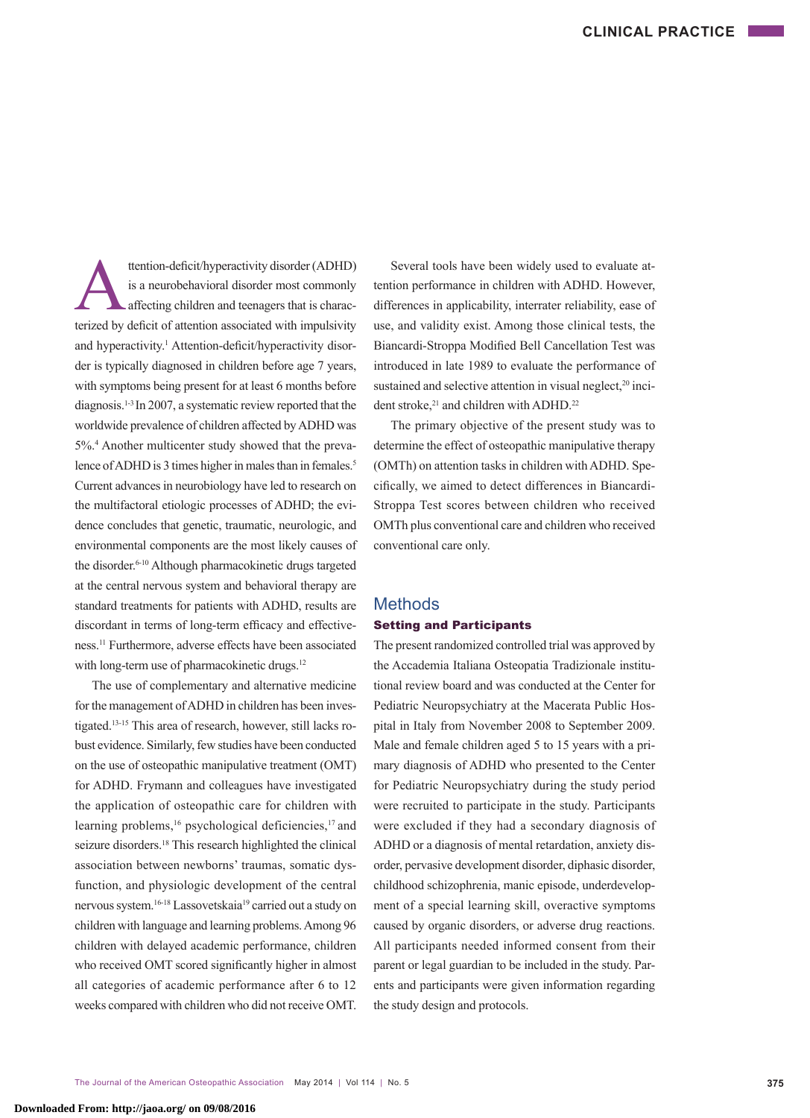ttention-deficit/hyperactivity disorder (ADHD) is a neurobehavioral disorder most commonly affecting children and teenagers that is characterized by deficit of attention associated with impulsivity and hyperactivity.<sup>1</sup> Attention-deficit/hyperactivity disorder is typically diagnosed in children before age 7 years, with symptoms being present for at least 6 months before diagnosis.1-3 In 2007, a systematic review reported that the worldwide prevalence of children affected by ADHD was 5%.4 Another multicenter study showed that the prevalence of ADHD is 3 times higher in males than in females.<sup>5</sup> Current advances in neurobiology have led to research on the multifactoral etiologic processes of ADHD; the evidence concludes that genetic, traumatic, neurologic, and environmental components are the most likely causes of the disorder.6-10 Although pharmacokinetic drugs targeted at the central nervous system and behavioral therapy are standard treatments for patients with ADHD, results are discordant in terms of long-term efficacy and effectiveness.11 Furthermore, adverse effects have been associated with long-term use of pharmacokinetic drugs.<sup>12</sup>

The use of complementary and alternative medicine for the management of ADHD in children has been investigated.13-15 This area of research, however, still lacks robust evidence. Similarly, few studies have been conducted on the use of osteopathic manipulative treatment (OMT) for ADHD. Frymann and colleagues have investigated the application of osteopathic care for children with learning problems,<sup>16</sup> psychological deficiencies,<sup>17</sup> and seizure disorders.<sup>18</sup> This research highlighted the clinical association between newborns' traumas, somatic dysfunction, and physiologic development of the central nervous system.<sup>16-18</sup> Lassovetskaia<sup>19</sup> carried out a study on children with language and learning problems. Among 96 children with delayed academic performance, children who received OMT scored significantly higher in almost all categories of academic performance after 6 to 12 weeks compared with children who did not receive OMT.

Several tools have been widely used to evaluate attention performance in children with ADHD. However, differences in applicability, interrater reliability, ease of use, and validity exist. Among those clinical tests, the Biancardi-Stroppa Modified Bell Cancellation Test was introduced in late 1989 to evaluate the performance of sustained and selective attention in visual neglect,<sup>20</sup> incident stroke,<sup>21</sup> and children with ADHD.<sup>22</sup>

The primary objective of the present study was to determine the effect of osteopathic manipulative therapy (OMTh) on attention tasks in children with ADHD. Specifically, we aimed to detect differences in Biancardi-Stroppa Test scores between children who received OMTh plus conventional care and children who received conventional care only.

# **Methods**

### Setting and Participants

The present randomized controlled trial was approved by the Accademia Italiana Osteopatia Tradizionale institutional review board and was conducted at the Center for Pediatric Neuropsychiatry at the Macerata Public Hospital in Italy from November 2008 to September 2009. Male and female children aged 5 to 15 years with a primary diagnosis of ADHD who presented to the Center for Pediatric Neuropsychiatry during the study period were recruited to participate in the study. Participants were excluded if they had a secondary diagnosis of ADHD or a diagnosis of mental retardation, anxiety disorder, pervasive development disorder, diphasic disorder, childhood schizophrenia, manic episode, underdevelopment of a special learning skill, overactive symptoms caused by organic disorders, or adverse drug reactions. All participants needed informed consent from their parent or legal guardian to be included in the study. Parents and participants were given information regarding the study design and protocols.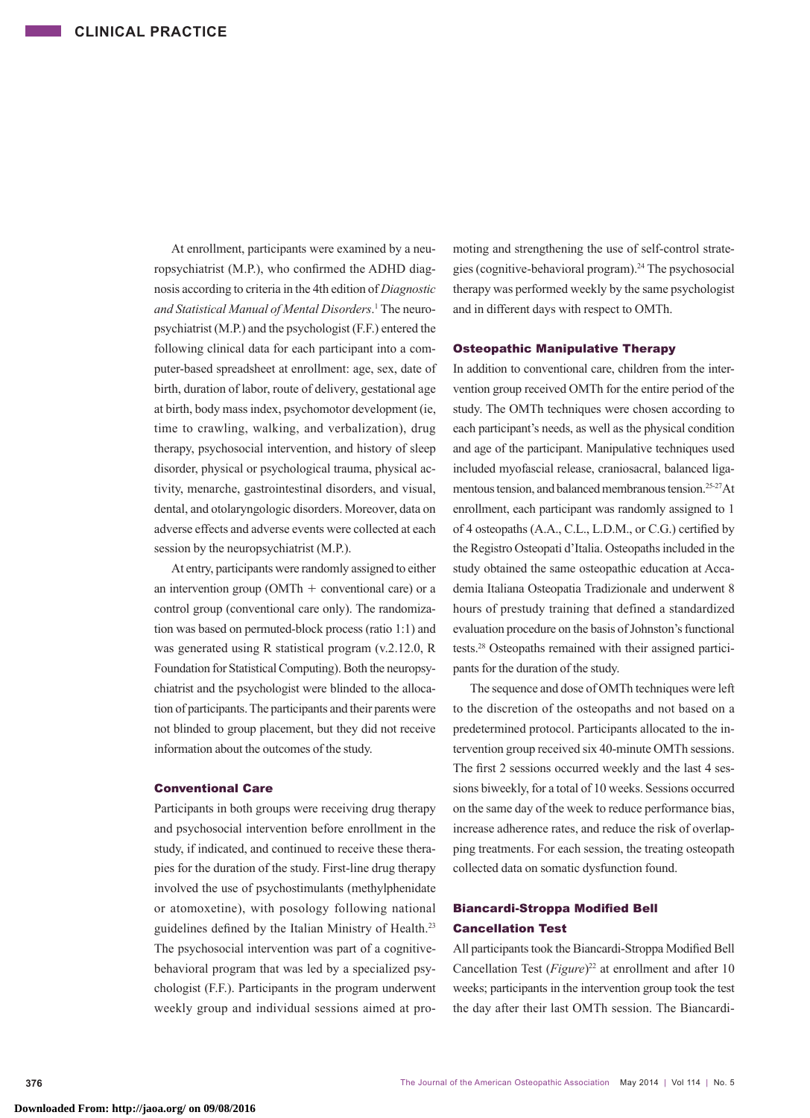At enrollment, participants were examined by a neuropsychiatrist (M.P.), who confirmed the ADHD diagnosis according to criteria in the 4th edition of *Diagnostic and Statistical Manual of Mental Disorders*. 1 The neuropsychiatrist (M.P.) and the psychologist (F.F.) entered the following clinical data for each participant into a computer-based spreadsheet at enrollment: age, sex, date of birth, duration of labor, route of delivery, gestational age at birth, body mass index, psychomotor development (ie, time to crawling, walking, and verbalization), drug therapy, psychosocial intervention, and history of sleep disorder, physical or psychological trauma, physical activity, menarche, gastrointestinal disorders, and visual, dental, and otolaryngologic disorders. Moreover, data on adverse effects and adverse events were collected at each session by the neuropsychiatrist (M.P.).

At entry, participants were randomly assigned to either an intervention group ( $OMTh +$  conventional care) or a control group (conventional care only). The randomization was based on permuted-block process (ratio 1:1) and was generated using R statistical program (v.2.12.0, R Foundation for Statistical Computing). Both the neuropsychiatrist and the psychologist were blinded to the allocation of participants. The participants and their parents were not blinded to group placement, but they did not receive information about the outcomes of the study.

### Conventional Care

Participants in both groups were receiving drug therapy and psychosocial intervention before enrollment in the study, if indicated, and continued to receive these therapies for the duration of the study. First-line drug therapy involved the use of psychostimulants (methylphenidate or atomoxetine), with posology following national guidelines defined by the Italian Ministry of Health.23 The psychosocial intervention was part of a cognitivebehavioral program that was led by a specialized psychologist (F.F.). Participants in the program underwent weekly group and individual sessions aimed at promoting and strengthening the use of self-control strategies (cognitive-behavioral program).24 The psychosocial therapy was performed weekly by the same psychologist and in different days with respect to OMTh.

### Osteopathic Manipulative Therapy

In addition to conventional care, children from the intervention group received OMTh for the entire period of the study. The OMTh techniques were chosen according to each participant's needs, as well as the physical condition and age of the participant. Manipulative techniques used included myofascial release, craniosacral, balanced ligamentous tension, and balanced membranous tension.<sup>25-27</sup>At enrollment, each participant was randomly assigned to 1 of 4 osteopaths (A.A., C.L., L.D.M., or C.G.) certified by the Registro Osteopati d'Italia. Osteopaths included in the study obtained the same osteopathic education at Accademia Italiana Osteopatia Tradizionale and underwent 8 hours of prestudy training that defined a standardized evaluation procedure on the basis of Johnston's functional tests.28 Osteopaths remained with their assigned participants for the duration of the study.

The sequence and dose of OMTh techniques were left to the discretion of the osteopaths and not based on a predetermined protocol. Participants allocated to the intervention group received six 40-minute OMTh sessions. The first 2 sessions occurred weekly and the last 4 sessions biweekly, for a total of 10 weeks. Sessions occurred on the same day of the week to reduce performance bias, increase adherence rates, and reduce the risk of overlapping treatments. For each session, the treating osteopath collected data on somatic dysfunction found.

# Biancardi-Stroppa Modified Bell Cancellation Test

All participants took the Biancardi-Stroppa Modified Bell Cancellation Test (*Figure*) 22 at enrollment and after 10 weeks; participants in the intervention group took the test the day after their last OMTh session. The Biancardi-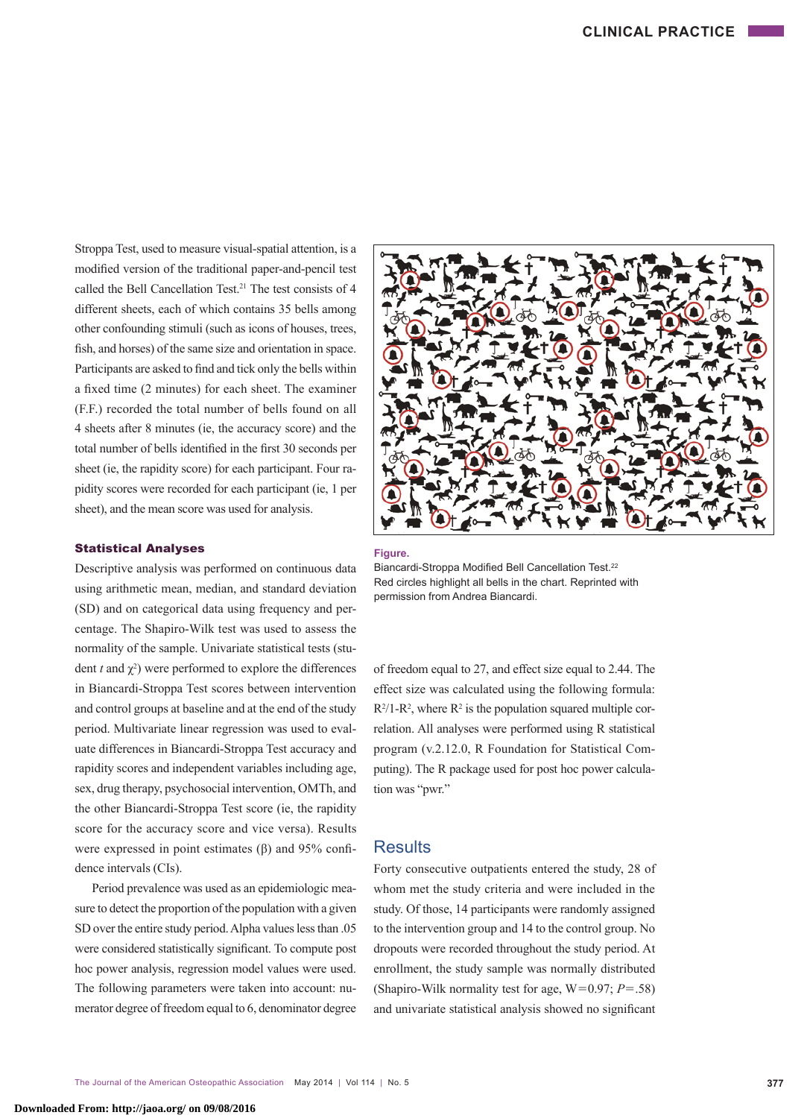Stroppa Test, used to measure visual-spatial attention, is a modified version of the traditional paper-and-pencil test called the Bell Cancellation Test.21 The test consists of 4 different sheets, each of which contains 35 bells among other confounding stimuli (such as icons of houses, trees, fish, and horses) of the same size and orientation in space. Participants are asked to find and tick only the bells within a fixed time (2 minutes) for each sheet. The examiner (F.F.) recorded the total number of bells found on all 4 sheets after 8 minutes (ie, the accuracy score) and the total number of bells identified in the first 30 seconds per sheet (ie, the rapidity score) for each participant. Four rapidity scores were recorded for each participant (ie, 1 per sheet), and the mean score was used for analysis.

### Statistical Analyses

Descriptive analysis was performed on continuous data using arithmetic mean, median, and standard deviation (SD) and on categorical data using frequency and percentage. The Shapiro-Wilk test was used to assess the normality of the sample. Univariate statistical tests (student  $t$  and  $\chi^2$ ) were performed to explore the differences in Biancardi-Stroppa Test scores between intervention and control groups at baseline and at the end of the study period. Multivariate linear regression was used to evaluate differences in Biancardi-Stroppa Test accuracy and rapidity scores and independent variables including age, sex, drug therapy, psychosocial intervention, OMTh, and the other Biancardi-Stroppa Test score (ie, the rapidity score for the accuracy score and vice versa). Results were expressed in point estimates (β) and 95% confidence intervals (CIs).

Period prevalence was used as an epidemiologic measure to detect the proportion of the population with a given SD over the entire study period. Alpha values less than .05 were considered statistically significant. To compute post hoc power analysis, regression model values were used. The following parameters were taken into account: numerator degree of freedom equal to 6, denominator degree



**Figure.** 

Biancardi-Stroppa Modified Bell Cancellation Test.<sup>22</sup> Red circles highlight all bells in the chart. Reprinted with permission from Andrea Biancardi.

of freedom equal to 27, and effect size equal to 2.44. The effect size was calculated using the following formula:  $R^2/1-R^2$ , where  $R^2$  is the population squared multiple correlation. All analyses were performed using R statistical program (v.2.12.0, R Foundation for Statistical Computing). The R package used for post hoc power calculation was "pwr."

# **Results**

Forty consecutive outpatients entered the study, 28 of whom met the study criteria and were included in the study. Of those, 14 participants were randomly assigned to the intervention group and 14 to the control group. No dropouts were recorded throughout the study period. At enrollment, the study sample was normally distributed (Shapiro-Wilk normality test for age,  $W=0.97$ ;  $P=.58$ ) and univariate statistical analysis showed no significant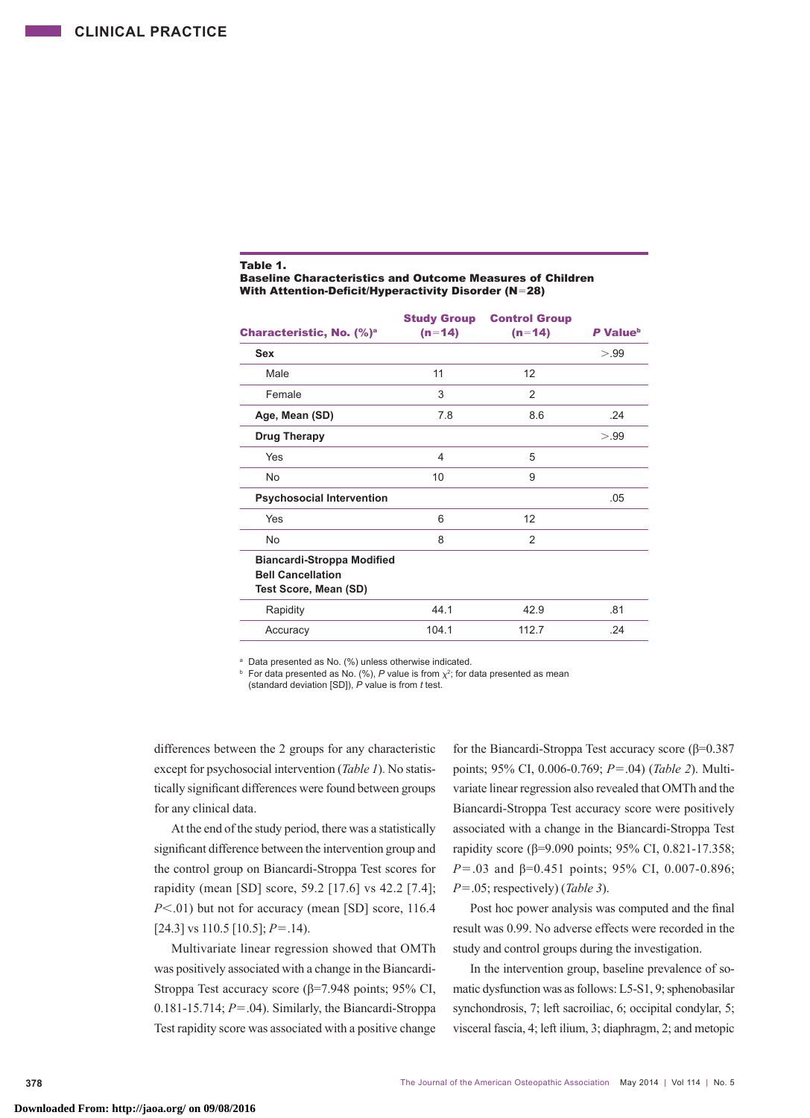### Table 1.

Baseline Characteristics and Outcome Measures of Children With Attention-Deficit/Hyperactivity Disorder (N=28)

|                                                                                        | <b>Study Group</b> | <b>Control Group</b> |                      |
|----------------------------------------------------------------------------------------|--------------------|----------------------|----------------------|
| Characteristic, No. (%) <sup>a</sup>                                                   | $(n=14)$           | $(n=14)$             | P Value <sup>b</sup> |
| Sex                                                                                    |                    |                      | > 99                 |
| Male                                                                                   | 11                 | 12                   |                      |
| Female                                                                                 | 3                  | 2                    |                      |
| Age, Mean (SD)                                                                         | 7.8                | 8.6                  | .24                  |
| <b>Drug Therapy</b>                                                                    |                    |                      | > 99                 |
| Yes                                                                                    | 4                  | 5                    |                      |
| No.                                                                                    | 10                 | 9                    |                      |
| <b>Psychosocial Intervention</b>                                                       |                    |                      | .05                  |
| Yes                                                                                    | 6                  | 12                   |                      |
| No.                                                                                    | 8                  | 2                    |                      |
| <b>Biancardi-Stroppa Modified</b><br><b>Bell Cancellation</b><br>Test Score, Mean (SD) |                    |                      |                      |
| Rapidity                                                                               | 44.1               | 42.9                 | .81                  |
| Accuracy                                                                               | 104.1              | 112.7                | .24                  |
|                                                                                        |                    |                      |                      |

<sup>a</sup> Data presented as No. (%) unless otherwise indicated.

For data presented as No. (%), P value is from  $\chi^2$ ; for data presented as mean (standard deviation [SD]), *P* value is from *t* test.

differences between the 2 groups for any characteristic except for psychosocial intervention (*Table 1*). No statistically significant differences were found between groups for any clinical data.

At the end of the study period, there was a statistically significant difference between the intervention group and the control group on Biancardi-Stroppa Test scores for rapidity (mean [SD] score, 59.2 [17.6] vs 42.2 [7.4]; *P*<.01) but not for accuracy (mean [SD] score, 116.4 [24.3] vs 110.5 [10.5]; *P*=.14).

Multivariate linear regression showed that OMTh was positively associated with a change in the Biancardi-Stroppa Test accuracy score (β=7.948 points; 95% CI, 0.181-15.714; *P*=.04). Similarly, the Biancardi-Stroppa Test rapidity score was associated with a positive change for the Biancardi-Stroppa Test accuracy score (β=0.387 points; 95% CI, 0.006-0.769; *P*=.04) (*Table 2*). Multivariate linear regression also revealed that OMTh and the Biancardi-Stroppa Test accuracy score were positively associated with a change in the Biancardi-Stroppa Test rapidity score (β=9.090 points; 95% CI, 0.821-17.358; *P*=.03 and β=0.451 points; 95% CI, 0.007-0.896; *P*=.05; respectively) (*Table 3*).

Post hoc power analysis was computed and the final result was 0.99. No adverse effects were recorded in the study and control groups during the investigation.

In the intervention group, baseline prevalence of somatic dysfunction was as follows: L5-S1, 9; sphenobasilar synchondrosis, 7; left sacroiliac, 6; occipital condylar, 5; visceral fascia, 4; left ilium, 3; diaphragm, 2; and metopic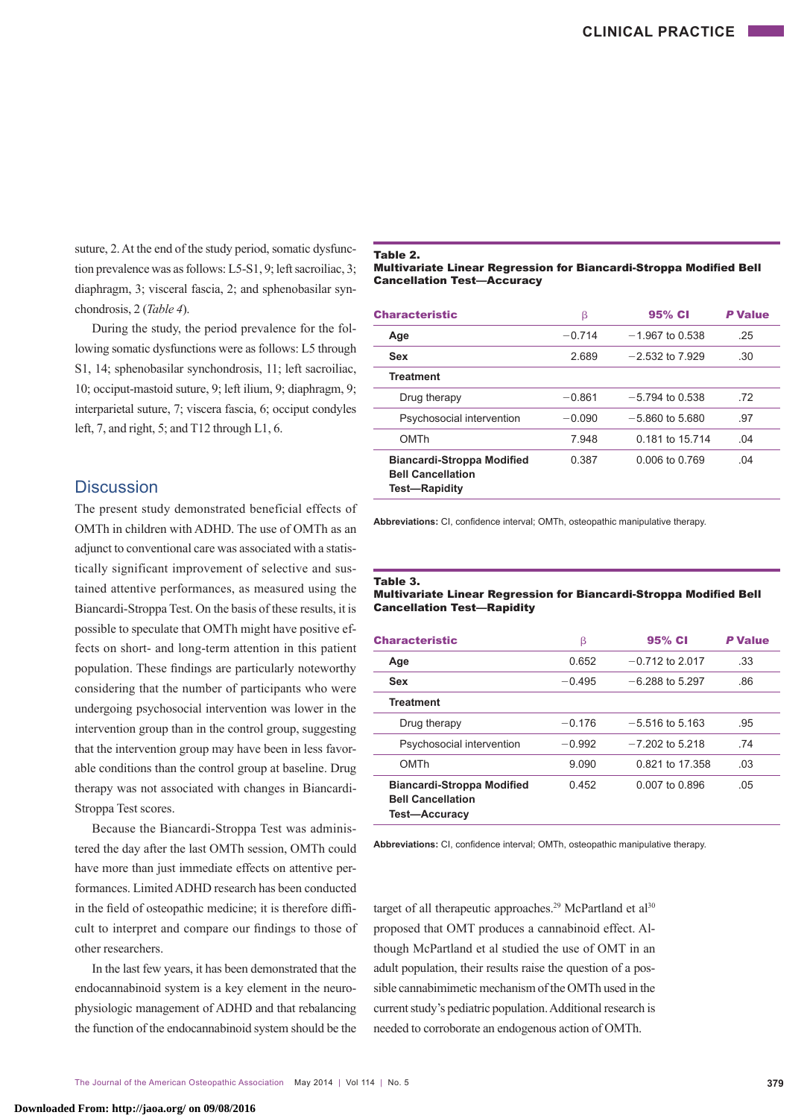suture, 2. At the end of the study period, somatic dysfunction prevalence was as follows: L5-S1, 9; left sacroiliac, 3; diaphragm, 3; visceral fascia, 2; and sphenobasilar synchondrosis, 2 (*Table 4*).

During the study, the period prevalence for the following somatic dysfunctions were as follows: L5 through S1, 14; sphenobasilar synchondrosis, 11; left sacroiliac, 10; occiput-mastoid suture, 9; left ilium, 9; diaphragm, 9; interparietal suture, 7; viscera fascia, 6; occiput condyles left, 7, and right, 5; and T12 through L1, 6.

# **Discussion**

The present study demonstrated beneficial effects of OMTh in children with ADHD. The use of OMTh as an adjunct to conventional care was associated with a statistically significant improvement of selective and sustained attentive performances, as measured using the Biancardi-Stroppa Test. On the basis of these results, it is possible to speculate that OMTh might have positive effects on short- and long-term attention in this patient population. These findings are particularly noteworthy considering that the number of participants who were undergoing psychosocial intervention was lower in the intervention group than in the control group, suggesting that the intervention group may have been in less favorable conditions than the control group at baseline. Drug therapy was not associated with changes in Biancardi-Stroppa Test scores.

Because the Biancardi-Stroppa Test was administered the day after the last OMTh session, OMTh could have more than just immediate effects on attentive performances. Limited ADHD research has been conducted in the field of osteopathic medicine; it is therefore difficult to interpret and compare our findings to those of other researchers.

In the last few years, it has been demonstrated that the endocannabinoid system is a key element in the neurophysiologic management of ADHD and that rebalancing the function of the endocannabinoid system should be the

#### Table 2.

#### Multivariate Linear Regression for Biancardi-Stroppa Modified Bell Cancellation Test—Accuracy

| <b>Characteristic</b>                                                          | β        | 95% CI            | <b>P</b> Value |
|--------------------------------------------------------------------------------|----------|-------------------|----------------|
| Age                                                                            | $-0.714$ | $-1.967$ to 0.538 | .25            |
| Sex                                                                            | 2.689    | $-2.532$ to 7.929 | .30            |
| <b>Treatment</b>                                                               |          |                   |                |
| Drug therapy                                                                   | $-0.861$ | $-5.794$ to 0.538 | .72            |
| Psychosocial intervention                                                      | $-0.090$ | $-5.860$ to 5.680 | .97            |
| OMTh                                                                           | 7.948    | 0.181 to 15.714   | .04            |
| <b>Biancardi-Stroppa Modified</b><br><b>Bell Cancellation</b><br>Test-Rapidity | 0.387    | 0.006 to 0.769    | .04            |

**Abbreviations:** CI, confidence interval; OMTh, osteopathic manipulative therapy.

#### Table 3.

#### Multivariate Linear Regression for Biancardi-Stroppa Modified Bell Cancellation Test—Rapidity

| <b>Characteristic</b>                                                                 | β        | 95% CI            | <b>P</b> Value |
|---------------------------------------------------------------------------------------|----------|-------------------|----------------|
| Age                                                                                   | 0.652    | $-0.712$ to 2.017 | .33            |
| Sex                                                                                   | $-0.495$ | $-6.288$ to 5.297 | .86            |
| <b>Treatment</b>                                                                      |          |                   |                |
| Drug therapy                                                                          | $-0.176$ | $-5.516$ to 5.163 | .95            |
| Psychosocial intervention                                                             | $-0.992$ | $-7202$ to 5218   | -74            |
| OMTh                                                                                  | 9.090    | 0.821 to 17,358   | .03            |
| <b>Biancardi-Stroppa Modified</b><br><b>Bell Cancellation</b><br><b>Test-Accuracy</b> | 0.452    | 0.007 to 0.896    | .05            |

**Abbreviations:** CI, confidence interval; OMTh, osteopathic manipulative therapy.

target of all therapeutic approaches.<sup>29</sup> McPartland et al<sup>30</sup> proposed that OMT produces a cannabinoid effect. Although McPartland et al studied the use of OMT in an adult population, their results raise the question of a possible cannabimimetic mechanism of the OMTh used in the current study's pediatric population. Additional research is needed to corroborate an endogenous action of OMTh.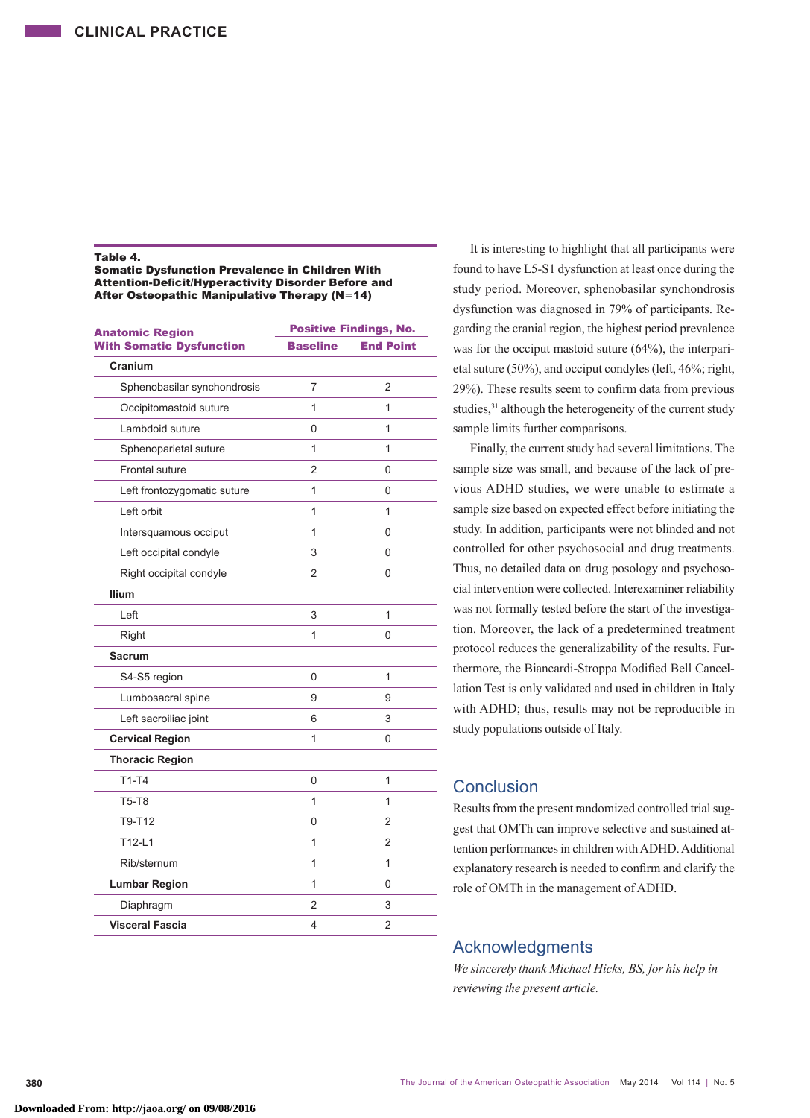### Table 4.

Somatic Dysfunction Prevalence in Children With Attention-Deficit/Hyperactivity Disorder Before and After Osteopathic Manipulative Therapy (N=14)

| <b>Anatomic Region</b>          | <b>Positive Findings, No.</b> |                  |  |
|---------------------------------|-------------------------------|------------------|--|
| <b>With Somatic Dysfunction</b> | <b>Baseline</b>               | <b>End Point</b> |  |
| Cranium                         |                               |                  |  |
| Sphenobasilar synchondrosis     | 7                             | 2                |  |
| Occipitomastoid suture          | 1                             | 1                |  |
| Lambdoid suture                 | 0                             | 1                |  |
| Sphenoparietal suture           | 1                             | 1                |  |
| Frontal suture                  | $\overline{2}$                | 0                |  |
| Left frontozygomatic suture     | 1                             | 0                |  |
| Left orbit                      | 1                             | 1                |  |
| Intersquamous occiput           | 1                             | 0                |  |
| Left occipital condyle          | 3                             | 0                |  |
| Right occipital condyle         | 2                             | 0                |  |
| <b>Ilium</b>                    |                               |                  |  |
| Left                            | 3                             | 1                |  |
| Right                           | 1                             | 0                |  |
| <b>Sacrum</b>                   |                               |                  |  |
| S4-S5 region                    | 0                             | 1                |  |
| Lumbosacral spine               | 9                             | 9                |  |
| Left sacroiliac joint           | 6                             | 3                |  |
| <b>Cervical Region</b>          | 1                             | 0                |  |
| <b>Thoracic Region</b>          |                               |                  |  |
| $T1-T4$                         | 0                             | 1                |  |
| <b>T5-T8</b>                    | 1                             | 1                |  |
| T9-T12                          | 0                             | 2                |  |
| $T12-L1$                        | 1                             | 2                |  |
| Rib/sternum                     | 1                             | 1                |  |
| <b>Lumbar Region</b>            | 1                             | 0                |  |
| Diaphragm                       | 2                             | 3                |  |
| Visceral Fascia                 | 4                             | 2                |  |

It is interesting to highlight that all participants were found to have L5-S1 dysfunction at least once during the study period. Moreover, sphenobasilar synchondrosis dysfunction was diagnosed in 79% of participants. Regarding the cranial region, the highest period prevalence was for the occiput mastoid suture (64%), the interparietal suture (50%), and occiput condyles (left, 46%; right, 29%). These results seem to confirm data from previous studies,<sup>31</sup> although the heterogeneity of the current study sample limits further comparisons.

Finally, the current study had several limitations. The sample size was small, and because of the lack of previous ADHD studies, we were unable to estimate a sample size based on expected effect before initiating the study. In addition, participants were not blinded and not controlled for other psychosocial and drug treatments. Thus, no detailed data on drug posology and psychosocial intervention were collected. Interexaminer reliability was not formally tested before the start of the investigation. Moreover, the lack of a predetermined treatment protocol reduces the generalizability of the results. Furthermore, the Biancardi-Stroppa Modified Bell Cancellation Test is only validated and used in children in Italy with ADHD; thus, results may not be reproducible in study populations outside of Italy.

# Conclusion

Results from the present randomized controlled trial suggest that OMTh can improve selective and sustained attention performances in children with ADHD. Additional explanatory research is needed to confirm and clarify the role of OMTh in the management of ADHD.

# Acknowledgments

*We sincerely thank Michael Hicks, BS, for his help in reviewing the present article.*